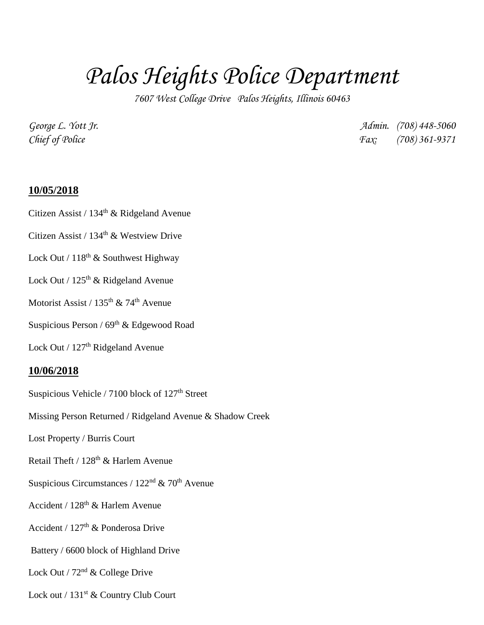## *Palos Heights Police Department*

*7607 West College Drive Palos Heights, Illinois 60463*

*George L. Yott Jr. Admin. (708) 448-5060 Chief of Police Fax: (708) 361-9371*

## **10/05/2018**

Citizen Assist /  $134<sup>th</sup>$  & Ridgeland Avenue

Citizen Assist / 134<sup>th</sup> & Westview Drive

Lock Out /  $118<sup>th</sup>$  & Southwest Highway

Lock Out /  $125<sup>th</sup>$  & Ridgeland Avenue

Motorist Assist /  $135<sup>th</sup>$  & 74<sup>th</sup> Avenue

Suspicious Person /  $69<sup>th</sup>$  & Edgewood Road

Lock Out / 127<sup>th</sup> Ridgeland Avenue

## **10/06/2018**

Suspicious Vehicle / 7100 block of  $127<sup>th</sup>$  Street

Missing Person Returned / Ridgeland Avenue & Shadow Creek

Lost Property / Burris Court

Retail Theft /  $128<sup>th</sup>$  & Harlem Avenue

Suspicious Circumstances /  $122<sup>nd</sup>$  & 70<sup>th</sup> Avenue

Accident / 128th & Harlem Avenue

Accident /  $127<sup>th</sup>$  & Ponderosa Drive

Battery / 6600 block of Highland Drive

Lock Out /  $72<sup>nd</sup>$  & College Drive

Lock out / 131<sup>st</sup> & Country Club Court